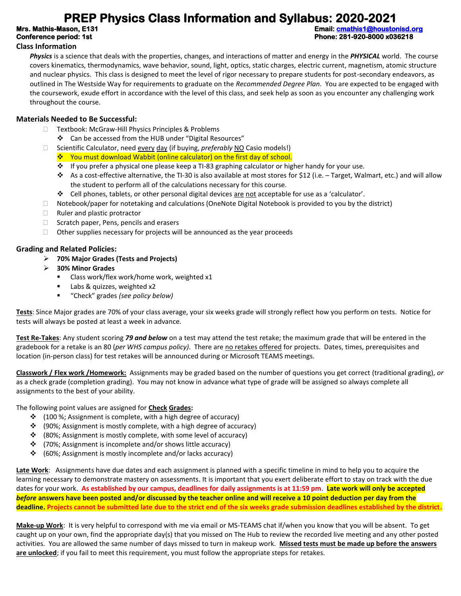# **PREP Physics Class Information and Syllabus: 2020-2021**<br>Email: cmathis-Mason, E131

**Mrs. Mathis-Mason, E131 Email: [cmathis1@houstonisd.org](mailto:cmathis1@houstonisd.org)  Conference period: 1st Phone: 281-920-8000 x036218** 

#### **Class Information**

*Physics* is a science that deals with the properties, changes, and interactions of matter and energy in the *PHYSICAL* world. The course covers kinematics, thermodynamics, wave behavior, sound, light, optics, static charges, electric current, magnetism, atomic structure and nuclear physics. This class is designed to meet the level of rigor necessary to prepare students for post-secondary endeavors, as outlined in The Westside Way for requirements to graduate on the *Recommended Degree Plan*. You are expected to be engaged with the coursework, exude effort in accordance with the level of this class, and seek help as soon as you encounter any challenging work throughout the course.

#### **Materials Needed to Be Successful:**

- □ Textbook: McGraw-Hill Physics Principles & Problems
	- ❖ Can be accessed from the HUB under "Digital Resources"
- □ Scientific Calculator, need every day (if buying, *preferably* NO Casio models!)
	- ❖ You must download Wabbit (online calculator) on the first day of school.
	- ❖ If you prefer a physical one please keep a TI-83 graphing calculator or higher handy for your use.
	- ❖ As a cost-effective alternative, the TI-30 is also available at most stores for \$12 (i.e. Target, Walmart, etc.) and will allow the student to perform all of the calculations necessary for this course.
	- ❖ Cell phones, tablets, or other personal digital devices are not acceptable for use as a 'calculator'.
- $\Box$  Notebook/paper for notetaking and calculations (OneNote Digital Notebook is provided to you by the district)
- $\Box$  Ruler and plastic protractor
- $\Box$  Scratch paper, Pens, pencils and erasers
- $\Box$  Other supplies necessary for projects will be announced as the year proceeds

### **Grading and Related Policies:**

- ➢ **70% Major Grades (Tests and Projects)**
- ➢ **30% Minor Grades** 
	- Class work/flex work/home work, weighted x1
	- Labs & quizzes, weighted x2
	- "Check" grades *(see policy below)*

**Tests**: Since Major grades are 70% of your class average, your six weeks grade will strongly reflect how you perform on tests. Notice for tests will always be posted at least a week in advance.

**Test Re-Takes**: Any student scoring *79 and below* on a test may attend the test retake; the maximum grade that will be entered in the gradebook for a retake is an 80 (*per WHS campus policy*). There are no retakes offered for projects. Dates, times, prerequisites and location (in-person class) for test retakes will be announced during or Microsoft TEAMS meetings.

**Classwork / Flex work /Homework:** Assignments may be graded based on the number of questions you get correct (traditional grading), *or* as a check grade (completion grading). You may not know in advance what type of grade will be assigned so always complete all assignments to the best of your ability.

The following point values are assigned for **Check Grades:**

- ❖ (100 %; Assignment is complete, with a high degree of accuracy)
- ❖ (90%; Assignment is mostly complete, with a high degree of accuracy)
- ❖ (80%; Assignment is mostly complete, with some level of accuracy)
- ❖ (70%; Assignment is incomplete and/or shows little accuracy)
- ❖ (60%; Assignment is mostly incomplete and/or lacks accuracy)

**Late Work**: Assignments have due dates and each assignment is planned with a specific timeline in mind to help you to acquire the learning necessary to demonstrate mastery on assessments. It is important that you exert deliberate effort to stay on track with the due dates for your work. **As established by our campus, deadlines for daily assignments is at 11:59 pm**. **Late work will only be accepted**  *before* **answers have been posted and/or discussed by the teacher online and will receive a 10 point deduction per day from the deadline. Projects cannot be submitted late due to the strict end of the six weeks grade submission deadlines established by the district.**

**Make-up Work**: It is very helpful to correspond with me via email or MS-TEAMS chat if/when you know that you will be absent. To get caught up on your own, find the appropriate day(s) that you missed on The Hub to review the recorded live meeting and any other posted activities. You are allowed the same number of days missed to turn in makeup work. **Missed tests must be made up before the answers are unlocked**; if you fail to meet this requirement, you must follow the appropriate steps for retakes.